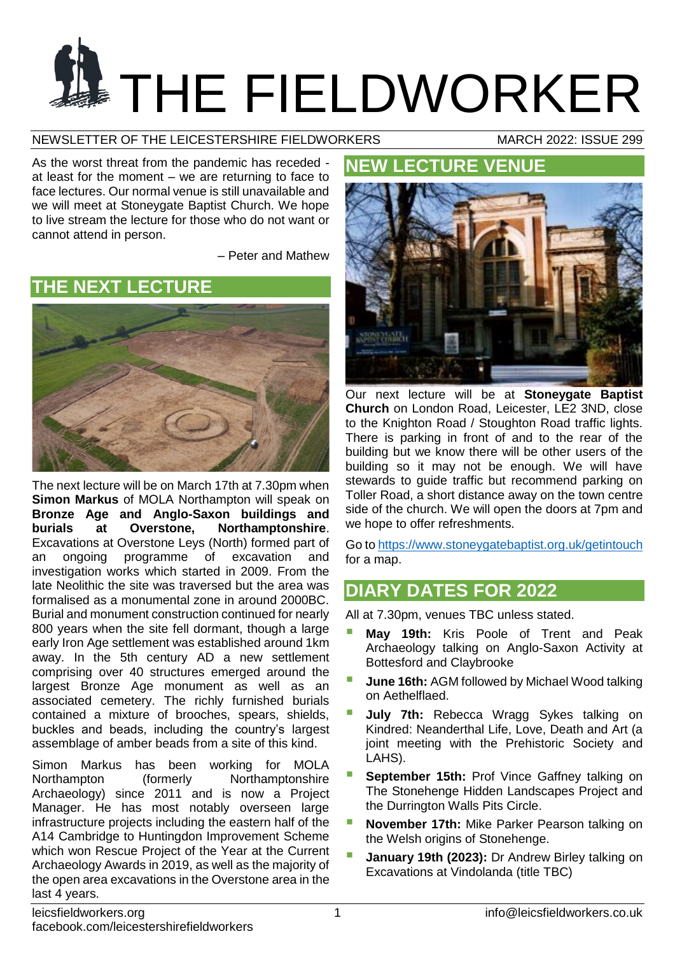# **THE FIELDWORKER**

NEWSLETTER OF THE LEICESTERSHIRE FIELDWORKERS MARCH 2022: ISSUE 299

As the worst threat from the pandemic has receded at least for the moment – we are returning to face to face lectures. Our normal venue is still unavailable and we will meet at Stoneygate Baptist Church. We hope to live stream the lecture for those who do not want or cannot attend in person.

– Peter and Mathew

**THE NEXT LECTURE**



The next lecture will be on March 17th at 7.30pm when **Simon Markus** of MOLA Northampton will speak on **Bronze Age and Anglo-Saxon buildings and burials at Overstone, Northamptonshire**. Excavations at Overstone Leys (North) formed part of an ongoing programme of excavation and investigation works which started in 2009. From the late Neolithic the site was traversed but the area was formalised as a monumental zone in around 2000BC. Burial and monument construction continued for nearly 800 years when the site fell dormant, though a large early Iron Age settlement was established around 1km away. In the 5th century AD a new settlement comprising over 40 structures emerged around the largest Bronze Age monument as well as an associated cemetery. The richly furnished burials contained a mixture of brooches, spears, shields, buckles and beads, including the country's largest assemblage of amber beads from a site of this kind.

Simon Markus has been working for MOLA Northampton (formerly Northamptonshire Archaeology) since 2011 and is now a Project Manager. He has most notably overseen large infrastructure projects including the eastern half of the A14 Cambridge to Huntingdon Improvement Scheme which won Rescue Project of the Year at the Current Archaeology Awards in 2019, as well as the majority of the open area excavations in the Overstone area in the last 4 years.

# **NEW LECTURE VENUE**



Our next lecture will be at **Stoneygate Baptist Church** on London Road, Leicester, LE2 3ND, close to the Knighton Road / Stoughton Road traffic lights. There is parking in front of and to the rear of the building but we know there will be other users of the building so it may not be enough. We will have stewards to quide traffic but recommend parking on Toller Road, a short distance away on the town centre side of the church. We will open the doors at 7pm and we hope to offer refreshments.

Go t[o https://www.stoneygatebaptist.org.uk/getintouch](https://www.stoneygatebaptist.org.uk/getintouch) for a map.

# **DIARY DATES FOR 2022**

All at 7.30pm, venues TBC unless stated.

- **May 19th:** Kris Poole of Trent and Peak Archaeology talking on Anglo-Saxon Activity at Bottesford and Claybrooke
- **June 16th:** AGM followed by Michael Wood talking on Aethelflaed.
- **July 7th:** Rebecca Wragg Sykes talking on Kindred: Neanderthal Life, Love, Death and Art (a joint meeting with the Prehistoric Society and LAHS).
- **September 15th:** Prof Vince Gaffney talking on The Stonehenge Hidden Landscapes Project and the Durrington Walls Pits Circle.
- **November 17th:** Mike Parker Pearson talking on the Welsh origins of Stonehenge.
- **January 19th (2023):** Dr Andrew Birley talking on Excavations at Vindolanda (title TBC)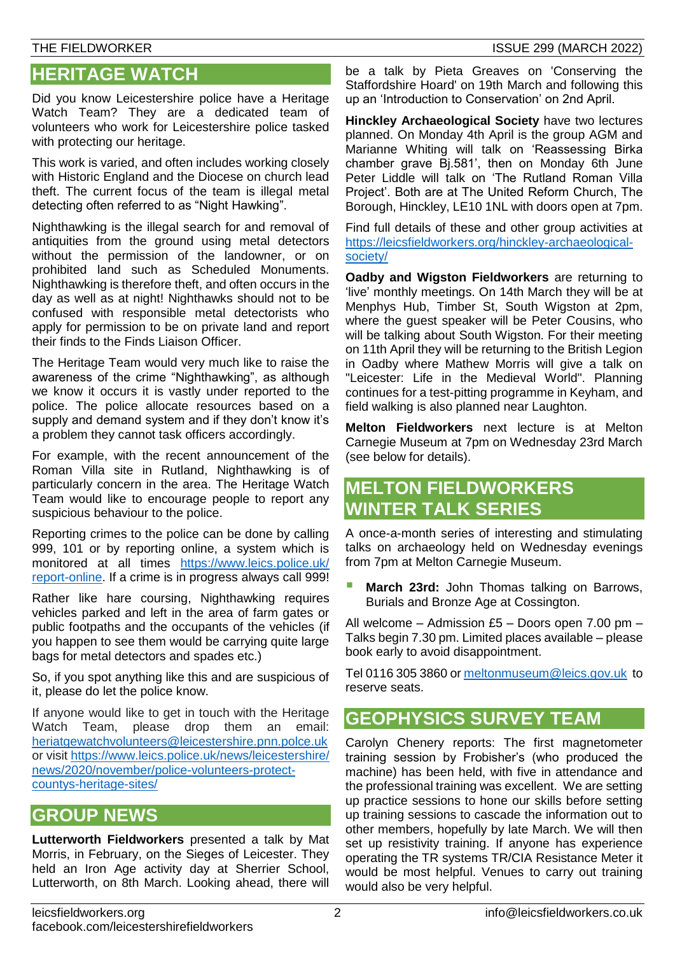## **HERITAGE WATCH**

Did you know Leicestershire police have a Heritage Watch Team? They are a dedicated team of volunteers who work for Leicestershire police tasked with protecting our heritage.

This work is varied, and often includes working closely with Historic England and the Diocese on church lead theft. The current focus of the team is illegal metal detecting often referred to as "Night Hawking".

Nighthawking is the illegal search for and removal of antiquities from the ground using metal detectors without the permission of the landowner, or on prohibited land such as Scheduled Monuments. Nighthawking is therefore theft, and often occurs in the day as well as at night! Nighthawks should not to be confused with responsible metal detectorists who apply for permission to be on private land and report their finds to the Finds Liaison Officer.

The Heritage Team would very much like to raise the awareness of the crime "Nighthawking", as although we know it occurs it is vastly under reported to the police. The police allocate resources based on a supply and demand system and if they don't know it's a problem they cannot task officers accordingly.

For example, with the recent announcement of the Roman Villa site in Rutland, Nighthawking is of particularly concern in the area. The Heritage Watch Team would like to encourage people to report any suspicious behaviour to the police.

Reporting crimes to the police can be done by calling 999, 101 or by reporting online, a system which is monitored at all times [https://www.leics.police.uk/](https://www.leics.police.uk/report-online) [report-online.](https://www.leics.police.uk/report-online) If a crime is in progress always call 999!

Rather like hare coursing, Nighthawking requires vehicles parked and left in the area of farm gates or public footpaths and the occupants of the vehicles (if you happen to see them would be carrying quite large bags for metal detectors and spades etc.)

So, if you spot anything like this and are suspicious of it, please do let the police know.

If anyone would like to get in touch with the Heritage Watch Team, please drop them an email: [heriatgewatchvolunteers@leicestershire.pnn.polce.uk](mailto:heriatgewatchvolunteers@leicestershire.pnn.polce.uk) or visit [https://www.leics.police.uk/news/leicestershire/](https://www.leics.police.uk/news/leicestershire/news/2020/november/police-volunteers-protect-countys-heritage-sites/) [news/2020/november/police-volunteers-protect](https://www.leics.police.uk/news/leicestershire/news/2020/november/police-volunteers-protect-countys-heritage-sites/)[countys-heritage-sites/](https://www.leics.police.uk/news/leicestershire/news/2020/november/police-volunteers-protect-countys-heritage-sites/)

# **GROUP NEWS**

**Lutterworth Fieldworkers** presented a talk by Mat Morris, in February, on the Sieges of Leicester. They held an Iron Age activity day at Sherrier School, Lutterworth, on 8th March. Looking ahead, there will be a talk by Pieta Greaves on 'Conserving the Staffordshire Hoard' on 19th March and following this up an 'Introduction to Conservation' on 2nd April.

**Hinckley Archaeological Society** have two lectures planned. On Monday 4th April is the group AGM and Marianne Whiting will talk on 'Reassessing Birka chamber grave Bj.581', then on Monday 6th June Peter Liddle will talk on 'The Rutland Roman Villa Project'. Both are at The United Reform Church, The Borough, Hinckley, LE10 1NL with doors open at 7pm.

Find full details of these and other group activities at [https://leicsfieldworkers.org/hinckley-archaeological](https://leicsfieldworkers.org/hinckley-archaeological-society/)[society/](https://leicsfieldworkers.org/hinckley-archaeological-society/)

**Oadby and Wigston Fieldworkers** are returning to 'live' monthly meetings. On 14th March they will be at Menphys Hub, Timber St, South Wigston at 2pm, where the quest speaker will be Peter Cousins, who will be talking about South Wigston. For their meeting on 11th April they will be returning to the British Legion in Oadby where Mathew Morris will give a talk on "Leicester: Life in the Medieval World". Planning continues for a test-pitting programme in Keyham, and field walking is also planned near Laughton.

**Melton Fieldworkers** next lecture is at Melton Carnegie Museum at 7pm on Wednesday 23rd March (see below for details).

# **MELTON FIELDWORKERS WINTER TALK SERIES**

A once-a-month series of interesting and stimulating talks on archaeology held on Wednesday evenings from 7pm at Melton Carnegie Museum.

 **March 23rd:** John Thomas talking on Barrows, Burials and Bronze Age at Cossington.

All welcome – Admission £5 – Doors open 7.00 pm – Talks begin 7.30 pm. Limited places available – please book early to avoid disappointment.

Tel 0116 305 3860 or [meltonmuseum@leics.gov.uk](mailto:meltonmuseum@leics.gov.uk) to reserve seats.

## **GEOPHYSICS SURVEY TEAM**

Carolyn Chenery reports: The first magnetometer training session by Frobisher's (who produced the machine) has been held, with five in attendance and the professional training was excellent. We are setting up practice sessions to hone our skills before setting up training sessions to cascade the information out to other members, hopefully by late March. We will then set up resistivity training. If anyone has experience operating the TR systems TR/CIA Resistance Meter it would be most helpful. Venues to carry out training would also be very helpful.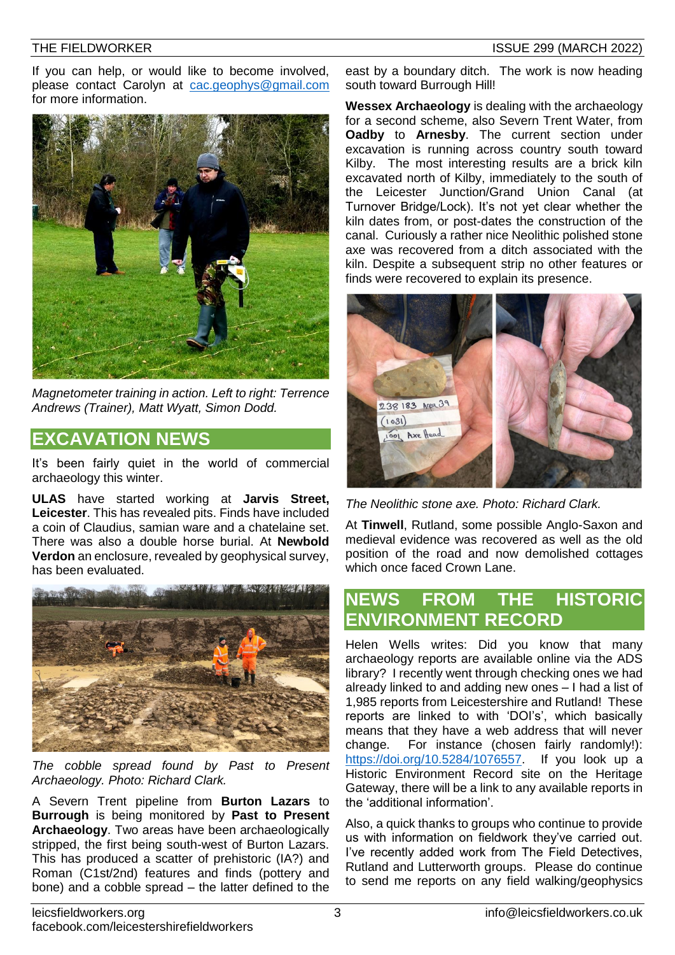If you can help, or would like to become involved. please contact Carolyn at [cac.geophys@gmail.com](mailto:cac.geophys@gmail.com) for more information.



*Magnetometer training in action. Left to right: Terrence Andrews (Trainer), Matt Wyatt, Simon Dodd.*

#### **EXCAVATION NEWS**

It's been fairly quiet in the world of commercial archaeology this winter.

**ULAS** have started working at **Jarvis Street, Leicester**. This has revealed pits. Finds have included a coin of Claudius, samian ware and a chatelaine set. There was also a double horse burial. At **Newbold Verdon** an enclosure, revealed by geophysical survey, has been evaluated.



*The cobble spread found by Past to Present Archaeology. Photo: Richard Clark.*

A Severn Trent pipeline from **Burton Lazars** to **Burrough** is being monitored by **Past to Present Archaeology**. Two areas have been archaeologically stripped, the first being south-west of Burton Lazars. This has produced a scatter of prehistoric (IA?) and Roman (C1st/2nd) features and finds (pottery and bone) and a cobble spread – the latter defined to the

east by a boundary ditch. The work is now heading south toward Burrough Hill!

**Wessex Archaeology** is dealing with the archaeology for a second scheme, also Severn Trent Water, from **Oadby** to **Arnesby**. The current section under excavation is running across country south toward Kilby. The most interesting results are a brick kiln excavated north of Kilby, immediately to the south of the Leicester Junction/Grand Union Canal (at Turnover Bridge/Lock). It's not yet clear whether the kiln dates from, or post-dates the construction of the canal. Curiously a rather nice Neolithic polished stone axe was recovered from a ditch associated with the kiln. Despite a subsequent strip no other features or finds were recovered to explain its presence.



*The Neolithic stone axe. Photo: Richard Clark.*

At **Tinwell**, Rutland, some possible Anglo-Saxon and medieval evidence was recovered as well as the old position of the road and now demolished cottages which once faced Crown Lane.

## **NEWS FROM THE HISTORIC ENVIRONMENT RECORD**

Helen Wells writes: Did you know that many archaeology reports are available online via the ADS library? I recently went through checking ones we had already linked to and adding new ones – I had a list of 1,985 reports from Leicestershire and Rutland! These reports are linked to with 'DOI's', which basically means that they have a web address that will never change. For instance (chosen fairly randomly!): [https://doi.org/10.5284/1076557.](https://doi.org/10.5284/1076557) If you look up a Historic Environment Record site on the Heritage Gateway, there will be a link to any available reports in the 'additional information'.

Also, a quick thanks to groups who continue to provide us with information on fieldwork they've carried out. I've recently added work from The Field Detectives, Rutland and Lutterworth groups. Please do continue to send me reports on any field walking/geophysics